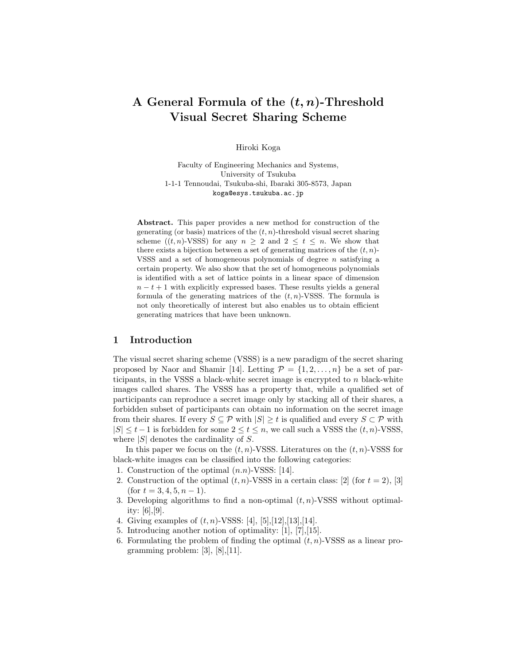# A General Formula of the  $(t, n)$ -Threshold Visual Secret Sharing Scheme

Hiroki Koga

Faculty of Engineering Mechanics and Systems, University of Tsukuba 1-1-1 Tennoudai, Tsukuba-shi, Ibaraki 305-8573, Japan koga@esys.tsukuba.ac.jp

Abstract. This paper provides a new method for construction of the generating (or basis) matrices of the  $(t, n)$ -threshold visual secret sharing scheme  $((t, n)$ -VSSS) for any  $n > 2$  and  $2 \le t \le n$ . We show that there exists a bijection between a set of generating matrices of the  $(t, n)$ -VSSS and a set of homogeneous polynomials of degree  $n$  satisfying a certain property. We also show that the set of homogeneous polynomials is identified with a set of lattice points in a linear space of dimension  $n - t + 1$  with explicitly expressed bases. These results yields a general formula of the generating matrices of the  $(t, n)$ -VSSS. The formula is not only theoretically of interest but also enables us to obtain efficient generating matrices that have been unknown.

## 1 Introduction

The visual secret sharing scheme (VSSS) is a new paradigm of the secret sharing proposed by Naor and Shamir [14]. Letting  $\mathcal{P} = \{1, 2, \ldots, n\}$  be a set of participants, in the VSSS a black-white secret image is encrypted to  $n$  black-white images called shares. The VSSS has a property that, while a qualified set of participants can reproduce a secret image only by stacking all of their shares, a forbidden subset of participants can obtain no information on the secret image from their shares. If every  $S \subseteq \mathcal{P}$  with  $|S| \geq t$  is qualified and every  $S \subseteq \mathcal{P}$  with  $|S| \leq t-1$  is forbidden for some  $2 \leq t \leq n$ , we call such a VSSS the  $(t, n)$ -VSSS, where  $|S|$  denotes the cardinality of S.

In this paper we focus on the  $(t, n)$ -VSSS. Literatures on the  $(t, n)$ -VSSS for black-white images can be classified into the following categories:

- 1. Construction of the optimal  $(n.n)$ -VSSS: [14].
- 2. Construction of the optimal  $(t, n)$ -VSSS in a certain class: [2] (for  $t = 2$ ), [3]  $(\text{for } t = 3, 4, 5, n - 1).$
- 3. Developing algorithms to find a non-optimal  $(t, n)$ -VSSS without optimality: [6],[9].
- 4. Giving examples of  $(t, n)$ -VSSS: [4], [5], [12], [13], [14].
- 5. Introducing another notion of optimality: [1], [7],[15].
- 6. Formulating the problem of finding the optimal  $(t, n)$ -VSSS as a linear programming problem:  $[3]$ ,  $[8]$ ,  $[11]$ .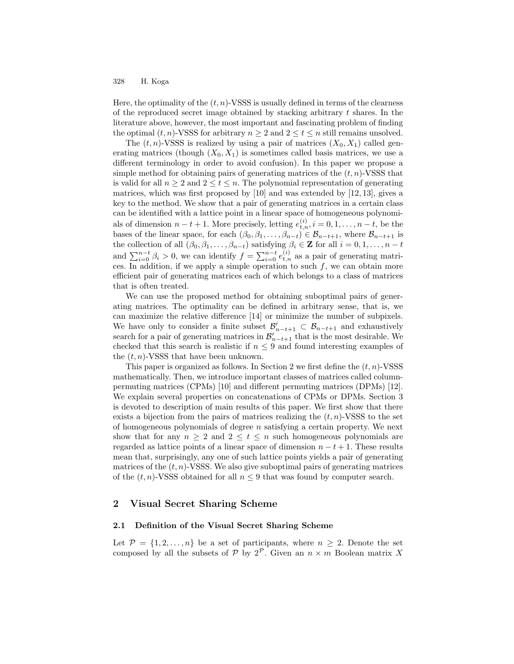Here, the optimality of the  $(t, n)$ -VSSS is usually defined in terms of the clearness of the reproduced secret image obtained by stacking arbitrary  $t$  shares. In the literature above, however, the most important and fascinating problem of finding the optimal  $(t, n)$ -VSSS for arbitrary  $n \geq 2$  and  $2 \leq t \leq n$  still remains unsolved.

The  $(t, n)$ -VSSS is realized by using a pair of matrices  $(X_0, X_1)$  called generating matrices (though  $(X_0, X_1)$  is sometimes called basis matrices, we use a different terminology in order to avoid confusion). In this paper we propose a simple method for obtaining pairs of generating matrices of the  $(t, n)$ -VSSS that is valid for all  $n \geq 2$  and  $2 \leq t \leq n$ . The polynomial representation of generating matrices, which was first proposed by [10] and was extended by [12, 13], gives a key to the method. We show that a pair of generating matrices in a certain class can be identified with a lattice point in a linear space of homogeneous polynomials of dimension  $n - t + 1$ . More precisely, letting  $e_{t,n}^{(i)}$ ,  $i = 0, 1, \ldots, n - t$ , be the bases of the linear space, for each  $(\beta_0, \beta_1, \ldots, \beta_{n-t}) \in \mathcal{B}_{n-t+1}$ , where  $\mathcal{B}_{n-t+1}$  is the collection of all  $(\beta_0, \beta_1, \ldots, \beta_{n-t})$  satisfying  $\beta_i \in \mathbf{Z}$  for all  $i = 0, 1, \ldots, n-t$ and  $\sum_{i=0}^{n-t} \beta_i > 0$ , we can identify  $f = \sum_{i=0}^{n-t} e_{t,n}^{(i)}$  as a pair of generating matrices. In addition, if we apply a simple operation to such  $f$ , we can obtain more efficient pair of generating matrices each of which belongs to a class of matrices that is often treated.

We can use the proposed method for obtaining suboptimal pairs of generating matrices. The optimality can be defined in arbitrary sense, that is, we can maximize the relative difference [14] or minimize the number of subpixels. We have only to consider a finite subset  $\mathcal{B}_{n-t+1}' \subset \mathcal{B}_{n-t+1}$  and exhaustively search for a pair of generating matrices in  $\mathcal{B}'_{n-t+1}$  that is the most desirable. We checked that this search is realistic if  $n \leq 9$  and found interesting examples of the  $(t, n)$ -VSSS that have been unknown.

This paper is organized as follows. In Section 2 we first define the  $(t, n)$ -VSSS mathematically. Then, we introduce important classes of matrices called columnpermuting matrices (CPMs) [10] and different permuting matrices (DPMs) [12]. We explain several properties on concatenations of CPMs or DPMs. Section 3 is devoted to description of main results of this paper. We first show that there exists a bijection from the pairs of matrices realizing the  $(t, n)$ -VSSS to the set of homogeneous polynomials of degree  $n$  satisfying a certain property. We next show that for any  $n \geq 2$  and  $2 \leq t \leq n$  such homogeneous polynomials are regarded as lattice points of a linear space of dimension  $n - t + 1$ . These results mean that, surprisingly, any one of such lattice points yields a pair of generating matrices of the  $(t, n)$ -VSSS. We also give suboptimal pairs of generating matrices of the  $(t, n)$ -VSSS obtained for all  $n \leq 9$  that was found by computer search.

## 2 Visual Secret Sharing Scheme

## 2.1 Definition of the Visual Secret Sharing Scheme

Let  $\mathcal{P} = \{1, 2, ..., n\}$  be a set of participants, where  $n \geq 2$ . Denote the set composed by all the subsets of  $P$  by  $2^P$ . Given an  $n \times m$  Boolean matrix X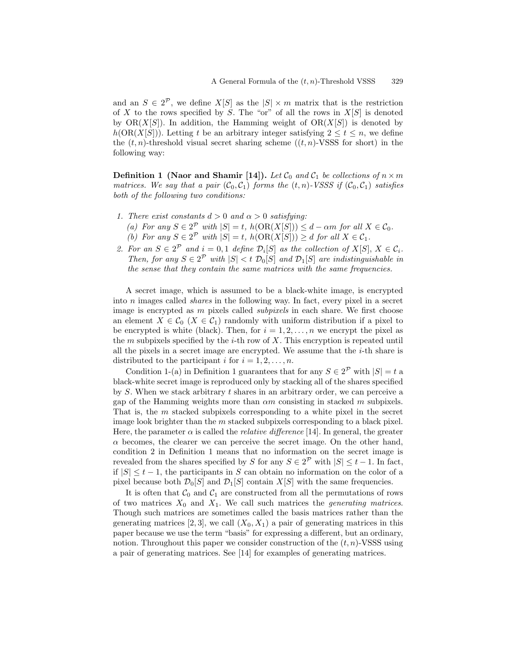and an  $S \in 2^{\mathcal{P}}$ , we define  $X[S]$  as the  $|S| \times m$  matrix that is the restriction of X to the rows specified by S. The "or" of all the rows in  $X[S]$  is denoted by  $OR(X[S])$ . In addition, the Hamming weight of  $OR(X[S])$  is denoted by  $h(\text{OR}(X[S]))$ . Letting t be an arbitrary integer satisfying  $2 \le t \le n$ , we define the  $(t, n)$ -threshold visual secret sharing scheme  $((t, n)$ -VSSS for short) in the following way:

**Definition 1 (Naor and Shamir [14]).** Let  $\mathcal{C}_0$  and  $\mathcal{C}_1$  be collections of  $n \times m$ matrices. We say that a pair  $(C_0, C_1)$  forms the  $(t, n)$ -VSSS if  $(C_0, C_1)$  satisfies both of the following two conditions:

- 1. There exist constants  $d > 0$  and  $\alpha > 0$  satisfying:
	- (a) For any  $S \in 2^{\mathcal{P}}$  with  $|S| = t$ ,  $h(\text{OR}(X[S])) \leq d \alpha m$  for all  $X \in \mathcal{C}_0$ . (b) For any  $S \in 2^{\mathcal{P}}$  with  $|S| = t$ ,  $h(\text{OR}(X[S])) \geq d$  for all  $X \in \mathcal{C}_1$ .
- 2. For an  $S \in 2^{\mathcal{P}}$  and  $i = 0, 1$  define  $\mathcal{D}_i[S]$  as the collection of  $X[S], X \in \mathcal{C}_i$ . Then, for any  $S \in 2^{\mathcal{P}}$  with  $|S| < t$   $\mathcal{D}_0[S]$  and  $\mathcal{D}_1[S]$  are indistinguishable in the sense that they contain the same matrices with the same frequencies.

A secret image, which is assumed to be a black-white image, is encrypted into n images called shares in the following way. In fact, every pixel in a secret image is encrypted as m pixels called *subpixels* in each share. We first choose an element  $X \in \mathcal{C}_0$  ( $X \in \mathcal{C}_1$ ) randomly with uniform distribution if a pixel to be encrypted is white (black). Then, for  $i = 1, 2, \ldots, n$  we encrypt the pixel as the m subpixels specified by the i-th row of X. This encryption is repeated until all the pixels in a secret image are encrypted. We assume that the  $i$ -th share is distributed to the participant i for  $i = 1, 2, \ldots, n$ .

Condition 1-(a) in Definition 1 guarantees that for any  $S \in 2^{\mathcal{P}}$  with  $|S| = t$  a black-white secret image is reproduced only by stacking all of the shares specified by  $S$ . When we stack arbitrary  $t$  shares in an arbitrary order, we can perceive a gap of the Hamming weights more than  $\alpha m$  consisting in stacked m subpixels. That is, the m stacked subpixels corresponding to a white pixel in the secret image look brighter than the m stacked subpixels corresponding to a black pixel. Here, the parameter  $\alpha$  is called the *relative difference* [14]. In general, the greater  $\alpha$  becomes, the clearer we can perceive the secret image. On the other hand, condition 2 in Definition 1 means that no information on the secret image is revealed from the shares specified by S for any  $S \in 2^{\mathcal{P}}$  with  $|S| \leq t - 1$ . In fact, if  $|S| \leq t-1$ , the participants in S can obtain no information on the color of a pixel because both  $\mathcal{D}_0[S]$  and  $\mathcal{D}_1[S]$  contain  $X[S]$  with the same frequencies.

It is often that  $C_0$  and  $C_1$  are constructed from all the permutations of rows of two matrices  $X_0$  and  $X_1$ . We call such matrices the *generating matrices*. Though such matrices are sometimes called the basis matrices rather than the generating matrices [2, 3], we call  $(X_0, X_1)$  a pair of generating matrices in this paper because we use the term "basis" for expressing a different, but an ordinary, notion. Throughout this paper we consider construction of the  $(t, n)$ -VSSS using a pair of generating matrices. See [14] for examples of generating matrices.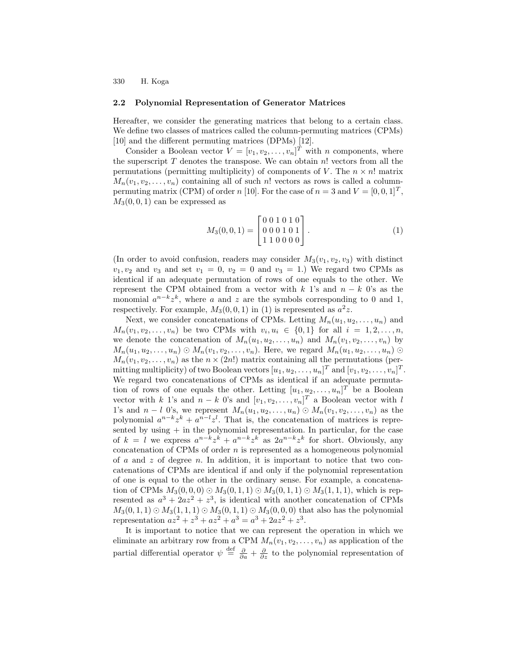#### 2.2 Polynomial Representation of Generator Matrices

Hereafter, we consider the generating matrices that belong to a certain class. We define two classes of matrices called the column-permuting matrices (CPMs) [10] and the different permuting matrices (DPMs) [12].

Consider a Boolean vector  $V = [v_1, v_2, \dots, v_n]^T$  with n components, where the superscript  $T$  denotes the transpose. We can obtain  $n!$  vectors from all the permutations (permitting multiplicity) of components of V. The  $n \times n!$  matrix  $M_n(v_1, v_2, \ldots, v_n)$  containing all of such n! vectors as rows is called a columnpermuting matrix (CPM) of order n [10]. For the case of  $n = 3$  and  $V = [0, 0, 1]^T$ ,  $M_3(0, 0, 1)$  can be expressed as

$$
M_3(0,0,1) = \begin{bmatrix} 0 & 0 & 1 & 0 & 1 & 0 \\ 0 & 0 & 0 & 1 & 0 & 1 \\ 1 & 1 & 0 & 0 & 0 & 0 \end{bmatrix} . \tag{1}
$$

(In order to avoid confusion, readers may consider  $M_3(v_1, v_2, v_3)$  with distinct  $v_1, v_2$  and  $v_3$  and set  $v_1 = 0$ ,  $v_2 = 0$  and  $v_3 = 1$ .) We regard two CPMs as identical if an adequate permutation of rows of one equals to the other. We represent the CPM obtained from a vector with k 1's and  $n - k$  0's as the monomial  $a^{n-k}z^k$ , where a and z are the symbols corresponding to 0 and 1, respectively. For example,  $M_3(0,0,1)$  in (1) is represented as  $a^2z$ .

Next, we consider concatenations of CPMs. Letting  $M_n(u_1, u_2, \ldots, u_n)$  and  $M_n(v_1, v_2, \ldots, v_n)$  be two CPMs with  $v_i, u_i \in \{0, 1\}$  for all  $i = 1, 2, \ldots, n$ , we denote the concatenation of  $M_n(u_1, u_2, \ldots, u_n)$  and  $M_n(v_1, v_2, \ldots, v_n)$  by  $M_n(u_1, u_2, \ldots, u_n) \odot M_n(v_1, v_2, \ldots, v_n)$ . Here, we regard  $M_n(u_1, u_2, \ldots, u_n) \odot$  $M_n(v_1, v_2, \ldots, v_n)$  as the  $n \times (2n!)$  matrix containing all the permutations (permitting multiplicity) of two Boolean vectors  $[u_1, u_2, \ldots, u_n]^T$  and  $[v_1, v_2, \ldots, v_n]^T$ . We regard two concatenations of CPMs as identical if an adequate permutation of rows of one equals the other. Letting  $[u_1, u_2, \ldots, u_n]^T$  be a Boolean vector with k 1's and  $n - k$  0's and  $[v_1, v_2, \ldots, v_n]^T$  a Boolean vector with l 1's and  $n - l$  0's, we represent  $M_n(u_1, u_2, \ldots, u_n) \odot M_n(v_1, v_2, \ldots, v_n)$  as the polynomial  $a^{n-k}z^k + a^{n-l}z^l$ . That is, the concatenation of matrices is represented by using + in the polynomial representation. In particular, for the case of  $k = l$  we express  $a^{n-k}z^k + a^{n-k}z^k$  as  $2a^{n-k}z^k$  for short. Obviously, any concatenation of CPMs of order  $n$  is represented as a homogeneous polynomial of  $a$  and  $z$  of degree  $n$ . In addition, it is important to notice that two concatenations of CPMs are identical if and only if the polynomial representation of one is equal to the other in the ordinary sense. For example, a concatenation of CPMs  $M_3(0, 0, 0) \odot M_3(0, 1, 1) \odot M_3(0, 1, 1) \odot M_3(1, 1, 1)$ , which is represented as  $a^3 + 2az^2 + z^3$ , is identical with another concatenation of CPMs  $M_3(0, 1, 1) \odot M_3(1, 1, 1) \odot M_3(0, 1, 1) \odot M_3(0, 0, 0)$  that also has the polynomial representation  $az^2 + z^3 + az^2 + a^3 = a^3 + 2az^2 + z^3$ .

It is important to notice that we can represent the operation in which we eliminate an arbitrary row from a CPM  $M_n(v_1, v_2, \ldots, v_n)$  as application of the partial differential operator  $\psi \stackrel{\text{def}}{=} \frac{\partial}{\partial a} + \frac{\partial}{\partial z}$  to the polynomial representation of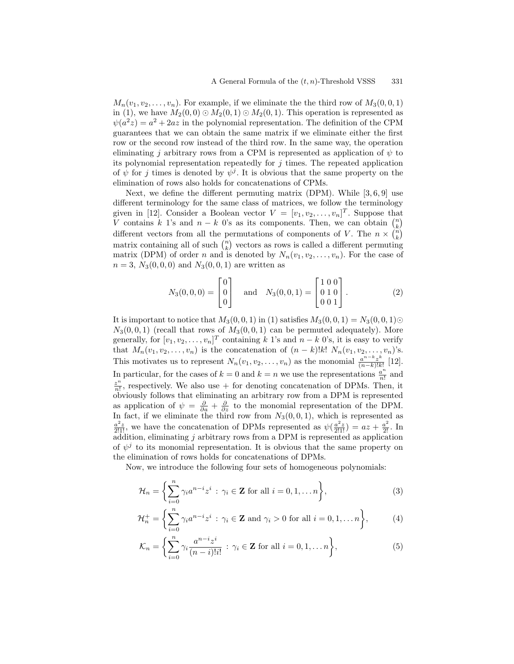$M_n(v_1, v_2, \ldots, v_n)$ . For example, if we eliminate the the third row of  $M_3(0, 0, 1)$ in (1), we have  $M_2(0,0) \odot M_2(0,1) \odot M_2(0,1)$ . This operation is represented as  $\psi(a^2z) = a^2 + 2az$  in the polynomial representation. The definition of the CPM guarantees that we can obtain the same matrix if we eliminate either the first row or the second row instead of the third row. In the same way, the operation eliminating j arbitrary rows from a CPM is represented as application of  $\psi$  to its polynomial representation repeatedly for  $j$  times. The repeated application of  $\psi$  for j times is denoted by  $\psi^j$ . It is obvious that the same property on the elimination of rows also holds for concatenations of CPMs.

Next, we define the different permuting matrix (DPM). While  $[3, 6, 9]$  use different terminology for the same class of matrices, we follow the terminology given in [12]. Consider a Boolean vector  $V = [v_1, v_2, \dots, v_n]^T$ . Suppose that V contains k 1's and  $n - k$  0's as its components. Then, we can obtain  $\binom{n}{k}$ different vectors from all the permutations of components of V. The  $n \times \binom{n}{k}$ matrix containing all of such  $\binom{n}{k}$  vectors as rows is called a different permuting matrix (DPM) of order n and is denoted by  $N_n(v_1, v_2, \ldots, v_n)$ . For the case of  $n = 3, N_3(0, 0, 0)$  and  $N_3(0, 0, 1)$  are written as

$$
N_3(0,0,0) = \begin{bmatrix} 0 \\ 0 \\ 0 \end{bmatrix} \text{ and } N_3(0,0,1) = \begin{bmatrix} 1 & 0 & 0 \\ 0 & 1 & 0 \\ 0 & 0 & 1 \end{bmatrix}.
$$
 (2)

It is important to notice that  $M_3(0, 0, 1)$  in (1) satisfies  $M_3(0, 0, 1) = N_3(0, 0, 1) \odot$  $N_3(0, 0, 1)$  (recall that rows of  $M_3(0, 0, 1)$  can be permuted adequately). More generally, for  $[v_1, v_2, \dots, v_n]^T$  containing k 1's and  $n - k$  0's, it is easy to verify that  $M_n(v_1, v_2, \ldots, v_n)$  is the concatenation of  $(n-k)!k! N_n(v_1, v_2, \ldots, v_n)$ 's. This motivates us to represent  $N_n(v_1, v_2, \ldots, v_n)$  as the monomial  $\frac{a^{n-k}z^k}{(n-k)!k}$  $\frac{a^{n} - z^{n}}{(n-k)!k!}$  [12]. In particular, for the cases of  $k = 0$  and  $k = n$  we use the representations  $\frac{a^n}{n!}$  and z n  $\frac{z^{n}}{n!}$ , respectively. We also use + for denoting concatenation of DPMs. Then, it obviously follows that eliminating an arbitrary row from a DPM is represented as application of  $\psi = \frac{\partial}{\partial a} + \frac{\partial}{\partial z}$  to the monomial representation of the DPM. In fact, if we eliminate the third row from  $N_3(0, 0, 1)$ , which is represented as  $\frac{a^2z}{2!1!}$ , we have the concatenation of DPMs represented as  $\psi(\frac{a^2z}{2!1!}) = az + \frac{a^2}{2!}$ . In addition, eliminating  $j$  arbitrary rows from a DPM is represented as application of  $\psi^j$  to its monomial representation. It is obvious that the same property on the elimination of rows holds for concatenations of DPMs.

Now, we introduce the following four sets of homogeneous polynomials:

$$
\mathcal{H}_n = \left\{ \sum_{i=0}^n \gamma_i a^{n-i} z^i : \gamma_i \in \mathbf{Z} \text{ for all } i = 0, 1, \dots n \right\},\tag{3}
$$

$$
\mathcal{H}_n^+ = \left\{ \sum_{i=0}^n \gamma_i a^{n-i} z^i : \gamma_i \in \mathbf{Z} \text{ and } \gamma_i > 0 \text{ for all } i = 0, 1, \dots n \right\},\tag{4}
$$

$$
\mathcal{K}_n = \left\{ \sum_{i=0}^n \gamma_i \frac{a^{n-i} z^i}{(n-i)! i!} : \gamma_i \in \mathbf{Z} \text{ for all } i = 0, 1, \dots n \right\},\tag{5}
$$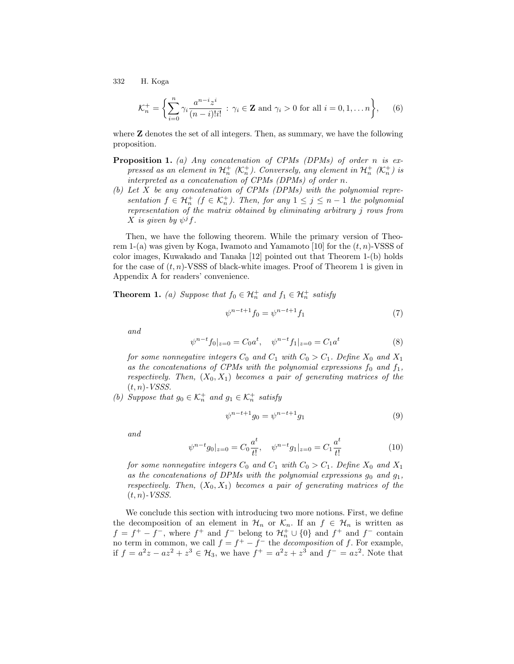$$
\mathcal{K}_n^+ = \left\{ \sum_{i=0}^n \gamma_i \frac{a^{n-i} z^i}{(n-i)! i!} : \gamma_i \in \mathbf{Z} \text{ and } \gamma_i > 0 \text{ for all } i = 0, 1, \dots n \right\},\qquad(6)
$$

where **Z** denotes the set of all integers. Then, as summary, we have the following proposition.

- **Proposition 1.** (a) Any concatenation of CPMs (DPMs) of order n is expressed as an element in  $\mathcal{H}^+_n$  ( $\mathcal{K}^+_n$ ). Conversely, any element in  $\mathcal{H}^+_n$  ( $\mathcal{K}^+_n$ ) is interpreted as a concatenation of CPMs (DPMs) of order n.
- (b) Let X be any concatenation of CPMs (DPMs) with the polynomial representation  $f \in \mathcal{H}_n^+$  ( $f \in \mathcal{K}_n^+$ ). Then, for any  $1 \leq j \leq n-1$  the polynomial representation of the matrix obtained by eliminating arbitrary j rows from X is given by  $\psi^j f$ .

Then, we have the following theorem. While the primary version of Theorem 1-(a) was given by Koga, Iwamoto and Yamamoto [10] for the  $(t, n)$ -VSSS of color images, Kuwakado and Tanaka [12] pointed out that Theorem 1-(b) holds for the case of  $(t, n)$ -VSSS of black-white images. Proof of Theorem 1 is given in Appendix A for readers' convenience.

**Theorem 1.** (a) Suppose that  $f_0 \in \mathcal{H}_n^+$  and  $f_1 \in \mathcal{H}_n^+$  satisfy

$$
\psi^{n-t+1} f_0 = \psi^{n-t+1} f_1 \tag{7}
$$

and

$$
\psi^{n-t} f_0|_{z=0} = C_0 a^t, \quad \psi^{n-t} f_1|_{z=0} = C_1 a^t \tag{8}
$$

for some nonnegative integers  $C_0$  and  $C_1$  with  $C_0 > C_1$ . Define  $X_0$  and  $X_1$ as the concatenations of CPMs with the polynomial expressions  $f_0$  and  $f_1$ , respectively. Then,  $(X_0, X_1)$  becomes a pair of generating matrices of the  $(t, n)$ -VSSS.

(b) Suppose that  $g_0 \in \mathcal{K}_n^+$  and  $g_1 \in \mathcal{K}_n^+$  satisfy

$$
\psi^{n-t+1}g_0 = \psi^{n-t+1}g_1\tag{9}
$$

and

$$
\psi^{n-t}g_0|_{z=0} = C_0 \frac{a^t}{t!}, \quad \psi^{n-t}g_1|_{z=0} = C_1 \frac{a^t}{t!}
$$
\n(10)

for some nonnegative integers  $C_0$  and  $C_1$  with  $C_0 > C_1$ . Define  $X_0$  and  $X_1$ as the concatenations of DPMs with the polynomial expressions  $g_0$  and  $g_1$ , respectively. Then,  $(X_0, X_1)$  becomes a pair of generating matrices of the  $(t, n)$ -VSSS.

We conclude this section with introducing two more notions. First, we define the decomposition of an element in  $\mathcal{H}_n$  or  $\mathcal{K}_n$ . If an  $f \in \mathcal{H}_n$  is written as  $f = f^+ - f^-$ , where  $f^+$  and  $f^-$  belong to  $\mathcal{H}_n^+ \cup \{0\}$  and  $f^+$  and  $f^-$  contain no term in common, we call  $f = f^+ - f^-$  the *decomposition* of f. For example, if  $f = a^2z - az^2 + z^3 \in H_3$ , we have  $f^+ = a^2z + z^3$  and  $f^- = az^2$ . Note that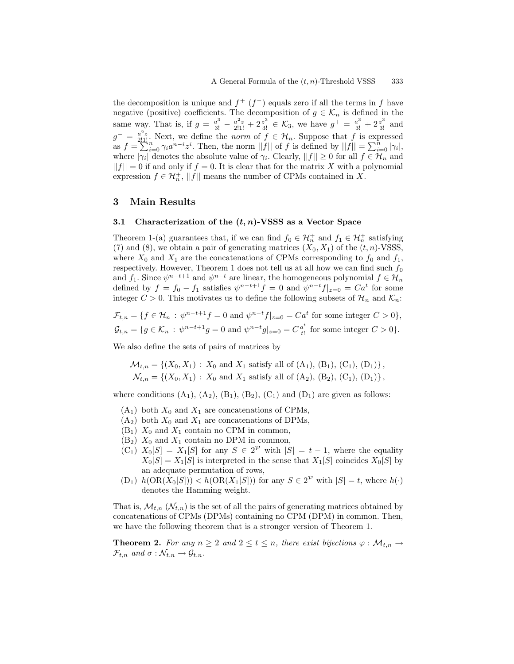the decomposition is unique and  $f^+(f^-)$  equals zero if all the terms in f have negative (positive) coefficients. The decomposition of  $g \in \mathcal{K}_n$  is defined in the same way. That is, if  $g = \frac{a^3}{3!} - \frac{a^2 z}{2!1!} + 2\frac{z^3}{3!} \in \mathcal{K}_3$ , we have  $g^+ = \frac{a^3}{3!} + 2\frac{z^3}{3!}$  and  $g^{-} = \frac{a^2 z}{2!1!}$ . Next, we define the norm of  $f \in \mathcal{H}_n$ . Suppose that f is expressed as  $f = \sum_{i=0}^{n} \gamma_i a^{n-i} z^i$ . Then, the norm  $||f||$  of f is defined by  $||f|| = \sum_{i=0}^{n} |\gamma_i|$ , where  $|\gamma_i|$  denotes the absolute value of  $\gamma_i$ . Clearly,  $||f|| \geq 0$  for all  $f \in \mathcal{H}_n$  and  $||f|| = 0$  if and only if  $f = 0$ . It is clear that for the matrix X with a polynomial expression  $f \in \mathcal{H}_n^+$ , ||f|| means the number of CPMs contained in X.

## 3 Main Results

#### 3.1 Characterization of the  $(t, n)$ -VSSS as a Vector Space

Theorem 1-(a) guarantees that, if we can find  $f_0 \in \mathcal{H}_n^+$  and  $f_1 \in \mathcal{H}_n^+$  satisfying (7) and (8), we obtain a pair of generating matrices  $(X_0, X_1)$  of the  $(t, n)$ -VSSS, where  $X_0$  and  $X_1$  are the concatenations of CPMs corresponding to  $f_0$  and  $f_1$ , respectively. However, Theorem 1 does not tell us at all how we can find such  $f_0$ and  $f_1$ . Since  $\psi^{n-t+1}$  and  $\psi^{n-t}$  are linear, the homogeneous polynomial  $f \in \mathcal{H}_n$ defined by  $f = f_0 - f_1$  satisfies  $\psi^{n-t+1} f = 0$  and  $\psi^{n-t} f|_{z=0} = C a^t$  for some integer  $C > 0$ . This motivates us to define the following subsets of  $\mathcal{H}_n$  and  $\mathcal{K}_n$ .

$$
\mathcal{F}_{t,n} = \{ f \in \mathcal{H}_n : \psi^{n-t+1} f = 0 \text{ and } \psi^{n-t} f|_{z=0} = Ca^t \text{ for some integer } C > 0 \},
$$
  

$$
\mathcal{G}_{t,n} = \{ g \in \mathcal{K}_n : \psi^{n-t+1} g = 0 \text{ and } \psi^{n-t} g|_{z=0} = C \frac{a^t}{t!} \text{ for some integer } C > 0 \}.
$$

We also define the sets of pairs of matrices by

$$
\mathcal{M}_{t,n} = \{ (X_0, X_1) : X_0 \text{ and } X_1 \text{ satisfy all of } (A_1), (B_1), (C_1), (D_1) \},
$$
  

$$
\mathcal{N}_{t,n} = \{ (X_0, X_1) : X_0 \text{ and } X_1 \text{ satisfy all of } (A_2), (B_2), (C_1), (D_1) \},
$$

where conditions  $(A_1)$ ,  $(A_2)$ ,  $(B_1)$ ,  $(B_2)$ ,  $(C_1)$  and  $(D_1)$  are given as follows:

- $(A_1)$  both  $X_0$  and  $X_1$  are concatenations of CPMs,
- $(A_2)$  both  $X_0$  and  $X_1$  are concatenations of DPMs,
- $(B_1)$   $X_0$  and  $X_1$  contain no CPM in common,
- $(B_2)$   $X_0$  and  $X_1$  contain no DPM in common,
- $(C_1)$   $X_0[S] = X_1[S]$  for any  $S \in 2^P$  with  $|S| = t 1$ , where the equality  $X_0[S] = X_1[S]$  is interpreted in the sense that  $X_1[S]$  coincides  $X_0[S]$  by an adequate permutation of rows,
- $(D_1)$   $h(\text{OR}(X_0[S])) < h(\text{OR}(X_1[S]))$  for any  $S \in 2^P$  with  $|S| = t$ , where  $h(\cdot)$ denotes the Hamming weight.

That is,  $\mathcal{M}_{t,n}(\mathcal{N}_{t,n})$  is the set of all the pairs of generating matrices obtained by concatenations of CPMs (DPMs) containing no CPM (DPM) in common. Then, we have the following theorem that is a stronger version of Theorem 1.

**Theorem 2.** For any  $n \geq 2$  and  $2 \leq t \leq n$ , there exist bijections  $\varphi : \mathcal{M}_{t,n} \to$  $\mathcal{F}_{t,n}$  and  $\sigma : \mathcal{N}_{t,n} \to \mathcal{G}_{t,n}$ .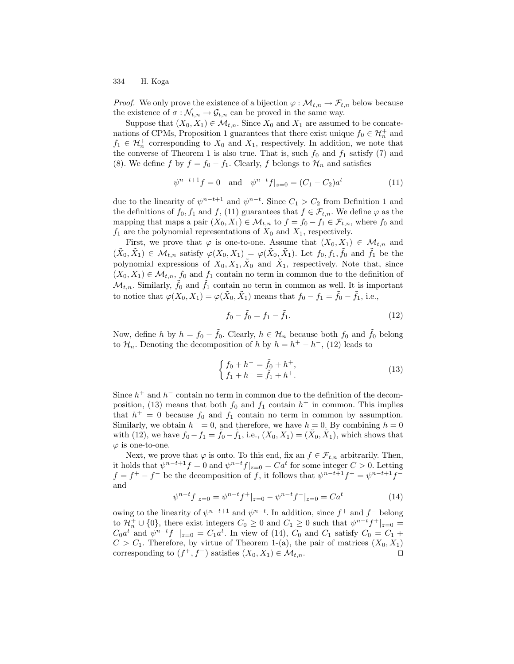*Proof.* We only prove the existence of a bijection  $\varphi : \mathcal{M}_{t,n} \to \mathcal{F}_{t,n}$  below because the existence of  $\sigma : \mathcal{N}_{t,n} \to \mathcal{G}_{t,n}$  can be proved in the same way.

Suppose that  $(X_0, X_1) \in \mathcal{M}_{t,n}$ . Since  $X_0$  and  $X_1$  are assumed to be concatenations of CPMs, Proposition 1 guarantees that there exist unique  $f_0 \in \mathcal{H}_n^+$  and  $f_1 \in \mathcal{H}_n^+$  corresponding to  $X_0$  and  $X_1$ , respectively. In addition, we note that the converse of Theorem 1 is also true. That is, such  $f_0$  and  $f_1$  satisfy (7) and (8). We define f by  $f = f_0 - f_1$ . Clearly, f belongs to  $\mathcal{H}_n$  and satisfies

$$
\psi^{n-t+1}f = 0 \quad \text{and} \quad \psi^{n-t}f|_{z=0} = (C_1 - C_2)a^t \tag{11}
$$

due to the linearity of  $\psi^{n-t+1}$  and  $\psi^{n-t}$ . Since  $C_1 > C_2$  from Definition 1 and the definitions of  $f_0, f_1$  and  $f$ , (11) guarantees that  $f \in \mathcal{F}_{t,n}$ . We define  $\varphi$  as the mapping that maps a pair  $(X_0, X_1) \in \mathcal{M}_{t,n}$  to  $f = f_0 - f_1 \in \mathcal{F}_{t,n}$ , where  $f_0$  and  $f_1$  are the polynomial representations of  $X_0$  and  $X_1$ , respectively.

First, we prove that  $\varphi$  is one-to-one. Assume that  $(X_0, X_1) \in \mathcal{M}_{t,n}$  and  $(\tilde{X}_0, \tilde{X}_1) \in \mathcal{M}_{t,n}$  satisfy  $\varphi(X_0, X_1) = \varphi(\tilde{X}_0, \tilde{X}_1)$ . Let  $f_0, f_1, \tilde{f}_0$  and  $\tilde{f}_1$  be the polynomial expressions of  $X_0, X_1, \tilde{X}_0$  and  $\tilde{X}_1$ , respectively. Note that, since  $(X_0, X_1) \in \mathcal{M}_{t,n}$ ,  $f_0$  and  $f_1$  contain no term in common due to the definition of  $\mathcal{M}_{t,n}$ . Similarly,  $\tilde{f}_0$  and  $\tilde{f}_1$  contain no term in common as well. It is important to notice that  $\varphi(X_0, X_1) = \varphi(\tilde{X}_0, \tilde{X}_1)$  means that  $f_0 - f_1 = \tilde{f}_0 - \tilde{f}_1$ , i.e.,

$$
f_0 - \tilde{f}_0 = f_1 - \tilde{f}_1. \tag{12}
$$

Now, define h by  $h = f_0 - \tilde{f}_0$ . Clearly,  $h \in \mathcal{H}_n$  because both  $f_0$  and  $\tilde{f}_0$  belong to  $\mathcal{H}_n$ . Denoting the decomposition of h by  $h = h^+ - h^-$ , (12) leads to

$$
\begin{cases}\nf_0 + h^- = \tilde{f}_0 + h^+, \\
f_1 + h^- = \tilde{f}_1 + h^+.\n\end{cases}
$$
\n(13)

Since  $h^+$  and  $h^-$  contain no term in common due to the definition of the decomposition, (13) means that both  $f_0$  and  $f_1$  contain  $h^+$  in common. This implies that  $h^+ = 0$  because  $f_0$  and  $f_1$  contain no term in common by assumption. Similarly, we obtain  $h^- = 0$ , and therefore, we have  $h = 0$ . By combining  $h = 0$ with (12), we have  $f_0 - f_1 = \tilde{f}_0 - \tilde{f}_1$ , i.e.,  $(X_0, X_1) = (\tilde{X}_0, \tilde{X}_1)$ , which shows that  $\varphi$  is one-to-one.

Next, we prove that  $\varphi$  is onto. To this end, fix an  $f \in \mathcal{F}_{t,n}$  arbitrarily. Then, it holds that  $\psi^{n-t+1} f = 0$  and  $\psi^{n-t} f|_{z=0} = C a^t$  for some integer  $C > 0$ . Letting  $f = f^+ - f^-$  be the decomposition of f, it follows that  $\psi^{n-t+1}f^+ = \psi^{n-t+1}f^$ and

$$
\psi^{n-t}f|_{z=0} = \psi^{n-t}f^+|_{z=0} - \psi^{n-t}f^-|_{z=0} = Ca^t \tag{14}
$$

owing to the linearity of  $\psi^{n-t+1}$  and  $\psi^{n-t}$ . In addition, since  $f^+$  and  $f^-$  belong to  $\mathcal{H}_n^+ \cup \{0\}$ , there exist integers  $C_0 \geq 0$  and  $C_1 \geq 0$  such that  $\psi^{n-t} f^+|_{z=0} =$  $C_0 a^t$  and  $\psi^{n-t} f^{-}|_{z=0} = C_1 a^t$ . In view of (14),  $C_0$  and  $C_1$  satisfy  $C_0 = C_1 + C_2 a^t$  $C > C_1$ . Therefore, by virtue of Theorem 1-(a), the pair of matrices  $(X_0, X_1)$ corresponding to  $(f^+, f^-)$  satisfies  $(X_0, X_1) \in \mathcal{M}_{t,n}$ .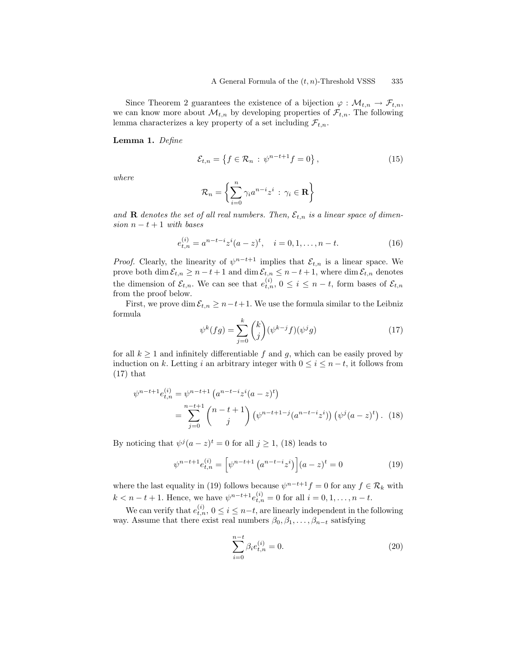Since Theorem 2 guarantees the existence of a bijection  $\varphi : \mathcal{M}_{t,n} \to \mathcal{F}_{t,n}$ , we can know more about  $\mathcal{M}_{t,n}$  by developing properties of  $\mathcal{F}_{t,n}$ . The following lemma characterizes a key property of a set including  $\mathcal{F}_{t,n}$ .

Lemma 1. Define

$$
\mathcal{E}_{t,n} = \left\{ f \in \mathcal{R}_n \, : \, \psi^{n-t+1} f = 0 \right\},\tag{15}
$$

where

$$
\mathcal{R}_n = \left\{ \sum_{i=0}^n \gamma_i a^{n-i} z^i \, : \, \gamma_i \in \mathbf{R} \right\}
$$

and **R** denotes the set of all real numbers. Then,  $\mathcal{E}_{t,n}$  is a linear space of dimension  $n - t + 1$  with bases

$$
e_{t,n}^{(i)} = a^{n-t-i} z^i (a-z)^t, \quad i = 0, 1, \dots, n-t.
$$
 (16)

*Proof.* Clearly, the linearity of  $\psi^{n-t+1}$  implies that  $\mathcal{E}_{t,n}$  is a linear space. We prove both  $\dim \mathcal{E}_{t,n} \geq n-t+1$  and  $\dim \mathcal{E}_{t,n} \leq n-t+1$ , where  $\dim \mathcal{E}_{t,n}$  denotes the dimension of  $\mathcal{E}_{t,n}$ . We can see that  $e_{t,n}^{(i)}$ ,  $0 \leq i \leq n-t$ , form bases of  $\mathcal{E}_{t,n}$ from the proof below.

First, we prove dim  $\mathcal{E}_{t,n} \geq n-t+1$ . We use the formula similar to the Leibniz formula

$$
\psi^k(fg) = \sum_{j=0}^k \binom{k}{j} (\psi^{k-j} f)(\psi^j g) \tag{17}
$$

for all  $k \geq 1$  and infinitely differentiable f and g, which can be easily proved by induction on k. Letting i an arbitrary integer with  $0 \le i \le n-t$ , it follows from (17) that

$$
\psi^{n-t+1} e_{t,n}^{(i)} = \psi^{n-t+1} \left( a^{n-t-i} z^i (a-z)^t \right)
$$
  
= 
$$
\sum_{j=0}^{n-t+1} {n-t+1 \choose j} \left( \psi^{n-t+1-j} (a^{n-t-i} z^i) \right) \left( \psi^j (a-z)^t \right). \tag{18}
$$

By noticing that  $\psi^j(a-z)^t = 0$  for all  $j \geq 1$ , (18) leads to

$$
\psi^{n-t+1}e_{t,n}^{(i)} = \left[\psi^{n-t+1}\left(a^{n-t-i}z^i\right)\right](a-z)^t = 0\tag{19}
$$

where the last equality in (19) follows because  $\psi^{n-t+1}f = 0$  for any  $f \in \mathcal{R}_k$  with  $k < n - t + 1$ . Hence, we have  $\psi^{n-t+1} e_{t,n}^{(i)} = 0$  for all  $i = 0, 1, ..., n - t$ .

We can verify that  $e_{t,n}^{(i)}$ ,  $0 \le i \le n-t$ , are linearly independent in the following way. Assume that there exist real numbers  $\beta_0, \beta_1, \ldots, \beta_{n-t}$  satisfying

$$
\sum_{i=0}^{n-t} \beta_i e_{t,n}^{(i)} = 0.
$$
\n(20)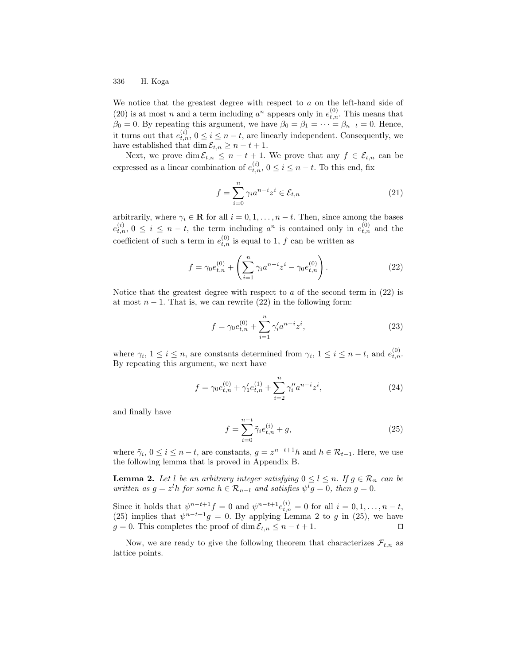We notice that the greatest degree with respect to  $a$  on the left-hand side of (20) is at most *n* and a term including  $a^n$  appears only in  $e_{t,n}^{(0)}$ . This means that  $\beta_0 = 0$ . By repeating this argument, we have  $\beta_0 = \beta_1 = \cdots = \beta_{n-t} = 0$ . Hence, it turns out that  $e_{t,n}^{(i)}$ ,  $0 \leq i \leq n-t$ , are linearly independent. Consequently, we have established that dim  $\mathcal{E}_{t,n} \geq n - t + 1$ .

Next, we prove dim  $\mathcal{E}_{t,n} \leq n-t+1$ . We prove that any  $f \in \mathcal{E}_{t,n}$  can be expressed as a linear combination of  $e_{t,n}^{(i)}$ ,  $0 \le i \le n-t$ . To this end, fix

$$
f = \sum_{i=0}^{n} \gamma_i a^{n-i} z^i \in \mathcal{E}_{t,n}
$$
 (21)

arbitrarily, where  $\gamma_i \in \mathbf{R}$  for all  $i = 0, 1, ..., n - t$ . Then, since among the bases  $e_{t,n}^{(i)}$ ,  $0 \leq i \leq n-t$ , the term including  $a^n$  is contained only in  $e_{t,n}^{(0)}$  and the coefficient of such a term in  $e_{t,n}^{(0)}$  is equal to 1, f can be written as

$$
f = \gamma_0 e_{t,n}^{(0)} + \left(\sum_{i=1}^n \gamma_i a^{n-i} z^i - \gamma_0 e_{t,n}^{(0)}\right). \tag{22}
$$

Notice that the greatest degree with respect to  $a$  of the second term in  $(22)$  is at most  $n-1$ . That is, we can rewrite (22) in the following form:

$$
f = \gamma_0 e_{t,n}^{(0)} + \sum_{i=1}^n \gamma_i' a^{n-i} z^i,
$$
\n(23)

where  $\gamma_i$ ,  $1 \leq i \leq n$ , are constants determined from  $\gamma_i$ ,  $1 \leq i \leq n-t$ , and  $e_{t,n}^{(0)}$ . By repeating this argument, we next have

$$
f = \gamma_0 e_{t,n}^{(0)} + \gamma_1' e_{t,n}^{(1)} + \sum_{i=2}^n \gamma_i'' a^{n-i} z^i,
$$
 (24)

and finally have

$$
f = \sum_{i=0}^{n-t} \tilde{\gamma}_i e_{t,n}^{(i)} + g,\tag{25}
$$

where  $\tilde{\gamma}_i, 0 \le i \le n-t$ , are constants,  $g = z^{n-t+1}h$  and  $h \in \mathcal{R}_{t-1}$ . Here, we use the following lemma that is proved in Appendix B.

**Lemma 2.** Let l be an arbitrary integer satisfying  $0 \le l \le n$ . If  $g \in \mathcal{R}_n$  can be written as  $g = z<sup>l</sup>h$  for some  $h \in \mathcal{R}_{n-l}$  and satisfies  $\psi<sup>l</sup>g = 0$ , then  $g = 0$ .

Since it holds that  $\psi^{n-t+1}f = 0$  and  $\psi^{n-t+1}e^{(i)}_{t,n} = 0$  for all  $i = 0, 1, \ldots, n-t$ , (25) implies that  $\psi^{n-t+1}g = 0$ . By applying Lemma 2 to g in (25), we have  $g = 0$ . This completes the proof of dim  $\mathcal{E}_{t,n} \leq n - t + 1$ .

Now, we are ready to give the following theorem that characterizes  $\mathcal{F}_{t,n}$  as lattice points.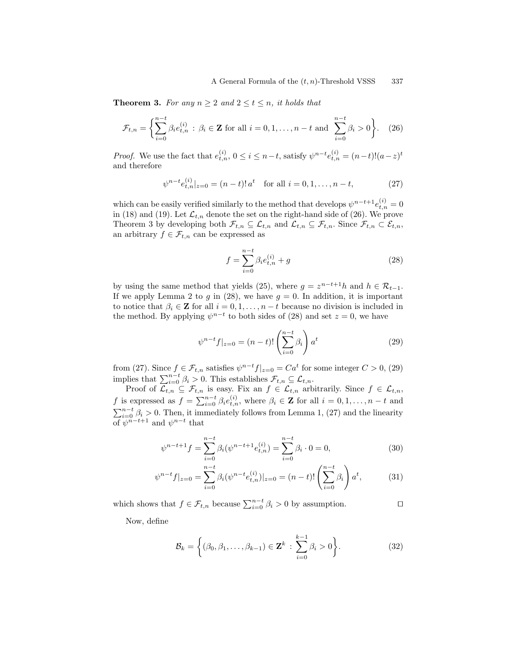**Theorem 3.** For any  $n \geq 2$  and  $2 \leq t \leq n$ , it holds that

$$
\mathcal{F}_{t,n} = \left\{ \sum_{i=0}^{n-t} \beta_i e_{t,n}^{(i)} : \beta_i \in \mathbf{Z} \text{ for all } i = 0, 1, \dots, n-t \text{ and } \sum_{i=0}^{n-t} \beta_i > 0 \right\}. \tag{26}
$$

*Proof.* We use the fact that  $e_{t,n}^{(i)}$ ,  $0 \le i \le n-t$ , satisfy  $\psi^{n-t} e_{t,n}^{(i)} = (n-t)!(a-z)^t$ and therefore

$$
\psi^{n-t} e_{t,n}^{(i)}|_{z=0} = (n-t)! a^t \text{ for all } i = 0, 1, \dots, n-t,
$$
 (27)

which can be easily verified similarly to the method that develops  $\psi^{n-t+1}e^{(i)}_{t,n} = 0$ in (18) and (19). Let  $\mathcal{L}_{t,n}$  denote the set on the right-hand side of (26). We prove Theorem 3 by developing both  $\mathcal{F}_{t,n} \subseteq \mathcal{L}_{t,n}$  and  $\mathcal{L}_{t,n} \subseteq \mathcal{F}_{t,n}$ . Since  $\mathcal{F}_{t,n} \subset \mathcal{E}_{t,n}$ , an arbitrary  $f \in \mathcal{F}_{t,n}$  can be expressed as

$$
f = \sum_{i=0}^{n-t} \beta_i e_{t,n}^{(i)} + g \tag{28}
$$

by using the same method that yields (25), where  $g = z^{n-t+1}h$  and  $h \in \mathcal{R}_{t-1}$ . If we apply Lemma 2 to g in (28), we have  $g = 0$ . In addition, it is important to notice that  $\beta_i \in \mathbf{Z}$  for all  $i = 0, 1, ..., n - t$  because no division is included in the method. By applying  $\psi^{n-t}$  to both sides of (28) and set  $z = 0$ , we have

$$
\psi^{n-t} f|_{z=0} = (n-t)! \left( \sum_{i=0}^{n-t} \beta_i \right) a^t \tag{29}
$$

from (27). Since  $f \in \mathcal{F}_{t,n}$  satisfies  $\psi^{n-t} f|_{z=0} = C a^t$  for some integer  $C > 0$ , (29) implies that  $\sum_{i=0}^{n-t} \beta_i > 0$ . This establishes  $\mathcal{F}_{t,n} \subseteq \mathcal{L}_{t,n}$ .

Proof of  $\mathcal{L}_{t,n} \subseteq \mathcal{F}_{t,n}$  is easy. Fix an  $f \in \mathcal{L}_{t,n}$  arbitrarily. Since  $f \in \mathcal{L}_{t,n}$ , f is expressed as  $f = \sum_{i=0}^{n-t} \beta_i e_{t,n}^{(i)}$ , where  $\beta_i \in \mathbf{Z}$  for all  $i = 0, 1, ..., n-t$  and  $\sum_{i=0}^{n-t} \beta_i > 0$ . Then, it immediately follows from Lemma 1, (27) and the linearity of  $\psi^{n-t+1}$  and  $\psi^{n-t}$  that

$$
\psi^{n-t+1}f = \sum_{i=0}^{n-t} \beta_i(\psi^{n-t+1}e_{t,n}^{(i)}) = \sum_{i=0}^{n-t} \beta_i \cdot 0 = 0,
$$
\n(30)

$$
\psi^{n-t} f|_{z=0} = \sum_{i=0}^{n-t} \beta_i (\psi^{n-t} e_{t,n}^{(i)})|_{z=0} = (n-t)! \left( \sum_{i=0}^{n-t} \beta_i \right) a^t,
$$
 (31)

which shows that  $f \in \mathcal{F}_{t,n}$  because  $\sum_{i=0}^{n-t} \beta_i > 0$  by assumption.

Now, define

$$
\mathcal{B}_k = \left\{ (\beta_0, \beta_1, \dots, \beta_{k-1}) \in \mathbf{Z}^k : \sum_{i=0}^{k-1} \beta_i > 0 \right\}.
$$
 (32)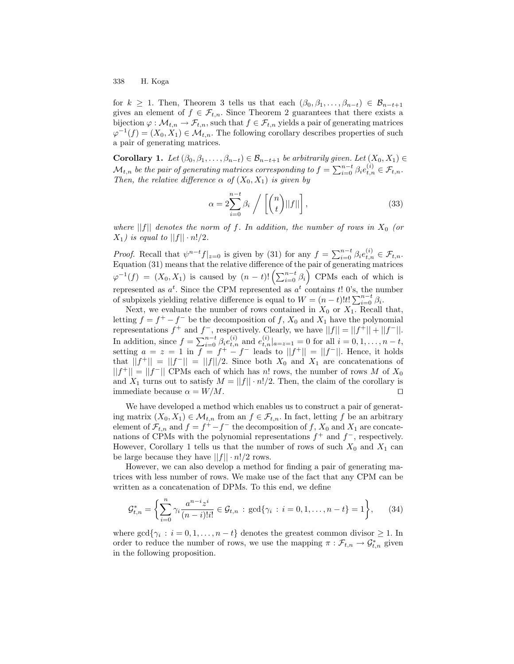for  $k \geq 1$ . Then, Theorem 3 tells us that each  $(\beta_0, \beta_1, \ldots, \beta_{n-t}) \in \mathcal{B}_{n-t+1}$ gives an element of  $f \in \mathcal{F}_{t,n}$ . Since Theorem 2 guarantees that there exists a bijection  $\varphi : \mathcal{M}_{t,n} \to \mathcal{F}_{t,n}$ , such that  $f \in \mathcal{F}_{t,n}$  yields a pair of generating matrices  $\varphi^{-1}(f) = (X_0, X_1) \in \mathcal{M}_{t,n}$ . The following corollary describes properties of such a pair of generating matrices.

**Corollary 1.** Let  $(\beta_0, \beta_1, \ldots, \beta_{n-t}) \in \mathcal{B}_{n-t+1}$  be arbitrarily given. Let  $(X_0, X_1) \in$  $\mathcal{M}_{t,n}$  be the pair of generating matrices corresponding to  $f = \sum_{i=0}^{n-t} \beta_i e_{t,n}^{(i)} \in \mathcal{F}_{t,n}.$ Then, the relative difference  $\alpha$  of  $(X_0, X_1)$  is given by

$$
\alpha = 2 \sum_{i=0}^{n-t} \beta_i / \left[ \binom{n}{t} ||f|| \right],\tag{33}
$$

where ||f|| denotes the norm of f. In addition, the number of rows in  $X_0$  (or  $X_1$ ) is equal to  $||f|| \cdot n!/2$ .

*Proof.* Recall that  $\psi^{n-t} f|_{z=0}$  is given by (31) for any  $f = \sum_{i=0}^{n-t} \beta_i e_{t,n}^{(i)} \in \mathcal{F}_{t,n}$ . Equation (31) means that the relative difference of the pair of generating matrices  $\varphi^{-1}(f) = (X_0, X_1)$  is caused by  $(n-t)! \left( \sum_{i=0}^{n-t} \beta_i \right)$  CPMs each of which is represented as  $a^t$ . Since the CPM represented as  $a^t$  contains t! 0's, the number of subpixels yielding relative difference is equal to  $W = (n - t)!t! \sum_{i=0}^{n-t} \beta_i$ .

Next, we evaluate the number of rows contained in  $X_0$  or  $X_1$ . Recall that, letting  $f = f^+ - f^-$  be the decomposition of f,  $X_0$  and  $X_1$  have the polynomial representations  $f^+$  and  $f^-$ , respectively. Clearly, we have  $||f|| = ||f^+|| + ||f^-||$ . In addition, since  $f = \sum_{i=0}^{n-t} \beta_i e_{t,n}^{(i)}$  and  $e_{t,n}^{(i)}|_{a=z=1} = 0$  for all  $i = 0, 1, ..., n-t$ , setting  $a = z = 1$  in  $f = f^+ - f^-$  leads to  $||f^+|| = ||f^-||$ . Hence, it holds that  $||f^+|| = ||f^-|| = ||f||/2$ . Since both  $X_0$  and  $X_1$  are concatenations of  $||f^+|| = ||f^-||$  CPMs each of which has n! rows, the number of rows M of  $X_0$ and  $X_1$  turns out to satisfy  $M = ||f|| \cdot n!/2$ . Then, the claim of the corollary is immediate because  $\alpha = W/M$ .

We have developed a method which enables us to construct a pair of generating matrix  $(X_0, X_1) \in \mathcal{M}_{t,n}$  from an  $f \in \mathcal{F}_{t,n}$ . In fact, letting f be an arbitrary element of  $\mathcal{F}_{t,n}$  and  $f = f^+ - f^-$  the decomposition of f,  $X_0$  and  $X_1$  are concatenations of CPMs with the polynomial representations  $f^+$  and  $f^-$ , respectively. However, Corollary 1 tells us that the number of rows of such  $X_0$  and  $X_1$  can be large because they have  $||f|| \cdot n!/2$  rows.

However, we can also develop a method for finding a pair of generating matrices with less number of rows. We make use of the fact that any CPM can be written as a concatenation of DPMs. To this end, we define

$$
\mathcal{G}_{t,n}^* = \left\{ \sum_{i=0}^n \gamma_i \frac{a^{n-i} z^i}{(n-i)! i!} \in \mathcal{G}_{t,n} : \gcd\{\gamma_i : i = 0, 1, \dots, n-t\} = 1 \right\},\qquad(34)
$$

where  $\gcd\{\gamma_i : i = 0, 1, \ldots, n - t\}$  denotes the greatest common divisor  $\geq 1$ . In order to reduce the number of rows, we use the mapping  $\pi: \mathcal{F}_{t,n} \to \mathcal{G}_{t,n}^*$  given in the following proposition.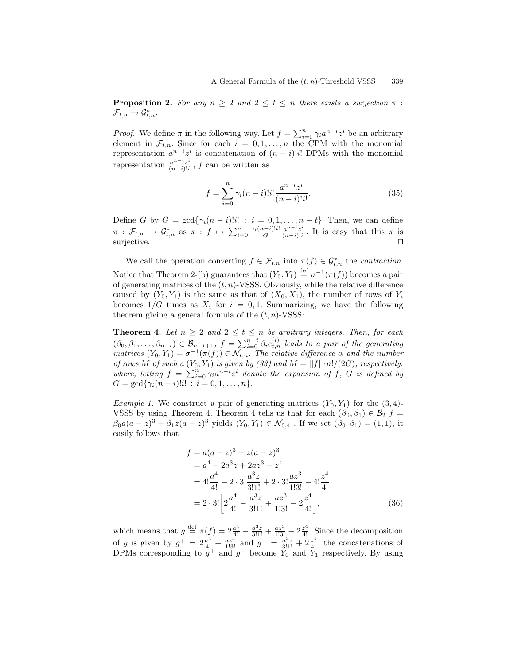**Proposition 2.** For any  $n \geq 2$  and  $2 \leq t \leq n$  there exists a surjection  $\pi$ :  $\mathcal{F}_{t,n} \to \mathcal{G}^*_{t,n}.$ 

*Proof.* We define  $\pi$  in the following way. Let  $f = \sum_{i=0}^{n} \gamma_i a^{n-i} z^i$  be an arbitrary element in  $\mathcal{F}_{t,n}$ . Since for each  $i = 0, 1, \ldots, n$  the CPM with the monomial representation  $a^{n-i}z^i$  is concatenation of  $(n-i)!i!$  DPMs with the monomial representation  $\frac{a^{n-i}z^{i}}{(n-i)!i}$  $\frac{a^{n}+z^{n}}{(n-i)!i!}$ , f can be written as

$$
f = \sum_{i=0}^{n} \gamma_i (n-i)! i! \frac{a^{n-i} z^i}{(n-i)! i!}.
$$
 (35)

Define G by  $G = \gcd\{\gamma_i(n-i)!i! : i = 0, 1, \ldots, n-t\}.$  Then, we can define  $\pi\,:\,\mathcal{F}_{t,n}\,\rightarrow\,\mathcal{G}^*_{t,n} \,\text{ as }\, \pi\,:\,f\,\mapsto\,\sum_{i=0}^n\frac{\gamma_i(n-i)!i!}{G}$  $\frac{(-i)!i!}{G} \frac{a^{n-i}z^i}{(n-i)!i}$  $\frac{a^{n} \cdot z^{n}}{(n-i)!i!}$ . It is easy that this  $\pi$  is surjective.  $\Box$ 

We call the operation converting  $f \in \mathcal{F}_{t,n}$  into  $\pi(f) \in \mathcal{G}_{t,n}^*$  the *contraction*. Notice that Theorem 2-(b) guarantees that  $(Y_0, Y_1) \stackrel{\text{def}}{=} \sigma^{-1}(\pi(f))$  becomes a pair of generating matrices of the  $(t, n)$ -VSSS. Obviously, while the relative difference caused by  $(Y_0, Y_1)$  is the same as that of  $(X_0, X_1)$ , the number of rows of  $Y_i$ becomes  $1/G$  times as  $X_i$  for  $i = 0, 1$ . Summarizing, we have the following theorem giving a general formula of the  $(t, n)$ -VSSS:

**Theorem 4.** Let  $n \geq 2$  and  $2 \leq t \leq n$  be arbitrary integers. Then, for each  $(\beta_0, \beta_1, \ldots, \beta_{n-t}) \in \mathcal{B}_{n-t+1}, f = \sum_{i=0}^{n-t} \beta_i e_{t,n}^{(i)}$  leads to a pair of the generating matrices  $(Y_0, Y_1) = \sigma^{-1}(\pi(f)) \in \mathcal{N}_{t,n}$ . The relative difference  $\alpha$  and the number of rows M of such a  $(Y_0, Y_1)$  is given by (33) and  $M = ||f|| \cdot n!/(2G)$ , respectively, where, letting  $f = \sum_{i=0}^{n} \gamma_i a^{n-i} z^i$  denote the expansion of f, G is defined by  $G = \gcd{\gamma_i(n-i)!i! : i = 0, 1, ..., n}.$ 

*Example 1.* We construct a pair of generating matrices  $(Y_0, Y_1)$  for the  $(3, 4)$ -VSSS by using Theorem 4. Theorem 4 tells us that for each  $(\beta_0, \beta_1) \in \mathcal{B}_2$  f =  $\beta_0 a(a-z)^3 + \beta_1 z(a-z)^3$  yields  $(Y_0, Y_1) \in \mathcal{N}_{3,4}$ . If we set  $(\beta_0, \beta_1) = (1, 1)$ , it easily follows that

$$
f = a(a - z)^3 + z(a - z)^3
$$
  
=  $a^4 - 2a^3z + 2az^3 - z^4$   
=  $4!\frac{a^4}{4!} - 2 \cdot 3!\frac{a^3z}{3!1!} + 2 \cdot 3!\frac{az^3}{1!3!} - 4!\frac{z^4}{4!}$   
=  $2 \cdot 3!\left[2\frac{a^4}{4!} - \frac{a^3z}{3!1!} + \frac{az^3}{1!3!} - 2\frac{z^4}{4!}\right],$  (36)

which means that  $g \stackrel{\text{def}}{=} \pi(f) = 2\frac{a^4}{4!} - \frac{a^3 z}{3!1!} + \frac{az^3}{1!3!} - 2\frac{z^4}{4!}$ . Since the decomposition of g is given by  $g^+ = 2\frac{a^4}{4!} + \frac{az^3}{1!3!}$  and  $g^- = \frac{a^3z}{3!1!} + 2\frac{z^4}{4!}$ , the concatenations of DPMs corresponding to  $\tilde{g}^+$  and  $g^-$  become  $\tilde{Y}_0$  and  $\tilde{Y}_1$  respectively. By using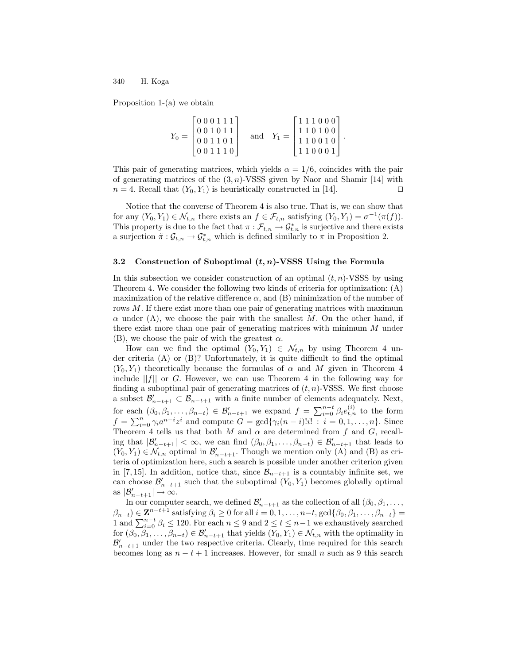Proposition 1-(a) we obtain

| $Y_0 =$ | [000111] |  |  | [111000]                                                                                           |  |
|---------|----------|--|--|----------------------------------------------------------------------------------------------------|--|
|         | 001110   |  |  | and $Y_1 = \begin{bmatrix} 1 & 1 & 0 & 1 & 0 & 0 \\ 1 & 1 & 0 & 0 & 1 & 0 \end{bmatrix}$<br>110001 |  |

.

This pair of generating matrices, which yields  $\alpha = 1/6$ , coincides with the pair of generating matrices of the  $(3, n)$ -VSSS given by Naor and Shamir [14] with  $n = 4$ . Recall that  $(Y_0, Y_1)$  is heuristically constructed in [14].

Notice that the converse of Theorem 4 is also true. That is, we can show that for any  $(Y_0, Y_1) \in \mathcal{N}_{t,n}$  there exists an  $f \in \mathcal{F}_{t,n}$  satisfying  $(Y_0, Y_1) = \sigma^{-1}(\pi(f)).$ This property is due to the fact that  $\pi: \mathcal{F}_{t,n} \to \mathcal{G}_{t,n}^*$  is surjective and there exists a surjection  $\tilde{\pi}: \mathcal{G}_{t,n} \to \mathcal{G}_{t,n}^*$  which is defined similarly to  $\pi$  in Proposition 2.

#### 3.2 Construction of Suboptimal  $(t, n)$ -VSSS Using the Formula

In this subsection we consider construction of an optimal  $(t, n)$ -VSSS by using Theorem 4. We consider the following two kinds of criteria for optimization: (A) maximization of the relative difference  $\alpha$ , and (B) minimization of the number of rows M. If there exist more than one pair of generating matrices with maximum  $\alpha$  under (A), we choose the pair with the smallest M. On the other hand, if there exist more than one pair of generating matrices with minimum M under (B), we choose the pair of with the greatest  $\alpha$ .

How can we find the optimal  $(Y_0, Y_1) \in \mathcal{N}_{t,n}$  by using Theorem 4 under criteria (A) or (B)? Unfortunately, it is quite difficult to find the optimal  $(Y_0, Y_1)$  theoretically because the formulas of  $\alpha$  and M given in Theorem 4 include  $||f||$  or G. However, we can use Theorem 4 in the following way for finding a suboptimal pair of generating matrices of  $(t, n)$ -VSSS. We first choose a subset  $\mathcal{B}'_{n-t+1} \subset \mathcal{B}_{n-t+1}$  with a finite number of elements adequately. Next, for each  $(\beta_0, \beta_1, \ldots, \beta_{n-t}) \in \mathcal{B}_{n-t+1}'$  we expand  $f = \sum_{i=0}^{n-t} \beta_i e_{t,n}^{(i)}$  to the form  $f = \sum_{i=0}^{n} \gamma_i a^{n-i} z^i$  and compute  $G = \gcd{\gamma_i(n-i)!i! : i = 0, 1, ..., n}$ . Since Theorem 4 tells us that both M and  $\alpha$  are determined from f and G, recalling that  $|\mathcal{B}_{n-t+1}'| < \infty$ , we can find  $(\beta_0, \beta_1, \ldots, \beta_{n-t}) \in \mathcal{B}_{n-t+1}'$  that leads to  $(Y_0, Y_1) \in \mathcal{N}_{t,n}$  optimal in  $\mathcal{B}_{n-t+1}'$ . Though we mention only (A) and (B) as criteria of optimization here, such a search is possible under another criterion given in [7, 15]. In addition, notice that, since  $\mathcal{B}_{n-t+1}$  is a countably infinite set, we can choose  $\mathcal{B}_{n-t+1}'$  such that the suboptimal  $(Y_0, Y_1)$  becomes globally optimal as  $|\mathcal{B}_{n-t+1}'| \to \infty$ .

In our computer search, we defined  $\mathcal{B}_{n-t+1}'$  as the collection of all  $(\beta_0, \beta_1, \ldots, \beta_n)$  $(\beta_{n-t}) \in \mathbb{Z}^{n-t+1}$  satisfying  $\beta_i \geq 0$  for all  $i = 0, 1, \ldots, n-t$ ,  $\gcd\{\beta_0, \beta_1, \ldots, \beta_{n-t}\}$ 1 and  $\sum_{i=0}^{n-t} \beta_i \le 120$ . For each  $n \le 9$  and  $2 \le t \le n-1$  we exhaustively searched for  $(\beta_0, \beta_1, \ldots, \beta_{n-t}) \in \mathcal{B}_{n-t+1}'$  that yields  $(Y_0, Y_1) \in \mathcal{N}_{t,n}$  with the optimality in  $\mathcal{B}'_{n-t+1}$  under the two respective criteria. Clearly, time required for this search becomes long as  $n - t + 1$  increases. However, for small n such as 9 this search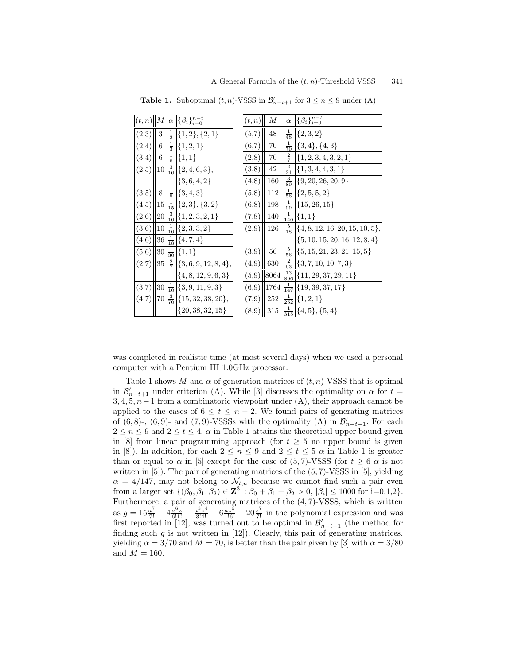|       |           |                | $(t, n)$ $M \alpha$ { $\beta_i$ } $_{i=0}^{n-t}$ | (t, n)     | М       | $\alpha$        | $\{\beta_i\}_{i=0}^{n-t}$                      |
|-------|-----------|----------------|--------------------------------------------------|------------|---------|-----------------|------------------------------------------------|
| (2,3) | 3         |                | $\frac{1}{3}$ {1, 2}, {2, 1}                     | (5,7)      | 48      | $\frac{1}{48}$  | $\{2,3,2\}$                                    |
| (2,4) | 6         | $\frac{1}{3}$  | $\{1, 2, 1\}$                                    | (6,7)      | 70      | $\frac{1}{70}$  | $\{3,4\},\{4,3\}$                              |
| (3,4) | 6         | $\frac{1}{6}$  | $\{1, 1\}$                                       | (2,8)      | 70      | $\frac{2}{7}$   | $\{\{1, 2, 3, 4, 3, 2, 1\}\}$                  |
| (2,5) |           |                | $10\left \frac{3}{10}\right \{2,4,6,3\},\,$      | (3,8)      | 42      | $\frac{2}{21}$  | $\{1, 3, 4, 4, 3, 1\}$                         |
|       |           |                | $\{3,6,4,2\}$                                    | (4,8)      | 160     | $\frac{3}{80}$  | $\{9, 20, 26, 20, 9\}$                         |
| (3,5) | 8         | $\frac{1}{8}$  | $\{3,4,3\}$                                      | (5,8)      | 112     | $\frac{1}{56}$  | $\{2, 5, 5, 2\}$                               |
| (4,5) | 15        |                | $\frac{1}{15}$ {2, 3}, {3, 2}                    | (6,8)      | 198     | $\frac{1}{99}$  | $\{15, 26, 15\}$                               |
| (2,6) | 20        |                | $\frac{3}{10}$ {1, 2, 3, 2, 1}                   | (7,8)      | 140     | $\frac{1}{140}$ | $\{1,1\}$                                      |
| (3,6) |           |                | $10\left \frac{1}{10}\right \{2,3,3,2\}$         | (2,9)      | 126     | $\frac{5}{18}$  | $\{4, 8, 12, 16, 20, 15, 10, 5\}$              |
| (4,6) | $36\,$    |                | $\frac{1}{18}$ {4, 7, 4}                         |            |         |                 | $\{5, 10, 15, 20, 16, 12, 8, 4\}$              |
| (5,6) | 30        | $\frac{1}{30}$ | ${1,1}$                                          | $^{(3,9)}$ | 56      | $\frac{5}{56}$  | $\{\{5, 15, 21, 23, 21, 15, 5\}\}$             |
| (2,7) | 35        |                | $\frac{2}{7}$ {3, 6, 9, 12, 8, 4},               | (4,9)      | 630     | $\frac{2}{63}$  | $\{3, 7, 10, 10, 7, 3\}$                       |
|       |           |                | $\{4, 8, 12, 9, 6, 3\}$                          | (5,9)      |         |                 | $8064 \frac{13}{896} \{11, 29, 37, 29, 11\}$   |
| (3,7) | <b>30</b> | $\frac{1}{10}$ | $\{3, 9, 11, 9, 3\}$                             | (6,9)      |         |                 | $1764 \frac{1}{147} \{19, 39, 37, 17\}$        |
| (4,7) |           |                | $70\frac{3}{70}\left\{15,32,38,20\right\},$      | (7,9)      | $252\,$ |                 | $\frac{1}{252}$ {1, 2, 1}                      |
|       |           |                | $\{20, 38, 32, 15\}$                             | (8,9)      |         |                 | $315\left \frac{1}{315}\right \{4,5\},\{5,4\}$ |

**Table 1.** Suboptimal  $(t, n)$ -VSSS in  $\mathcal{B}_{n-t+1}'$  for  $3 \le n \le 9$  under (A)

was completed in realistic time (at most several days) when we used a personal computer with a Pentium III 1.0GHz processor.

Table 1 shows M and  $\alpha$  of generation matrices of  $(t, n)$ -VSSS that is optimal in  $\mathcal{B}_{n-t+1}'$  under criterion (A). While [3] discusses the optimality on  $\alpha$  for  $t =$  $3, 4, 5, n-1$  from a combinatoric viewpoint under (A), their approach cannot be applied to the cases of  $6 \le t \le n-2$ . We found pairs of generating matrices of  $(6, 8)$ -,  $(6, 9)$ - and  $(7, 9)$ -VSSSs with the optimality  $(A)$  in  $\mathcal{B}_{n-t+1}'$ . For each  $2 \leq n \leq 9$  and  $2 \leq t \leq 4$ ,  $\alpha$  in Table 1 attains the theoretical upper bound given in [8] from linear programming approach (for  $t \geq 5$  no upper bound is given in [8]). In addition, for each  $2 \le n \le 9$  and  $2 \le t \le 5 \alpha$  in Table 1 is greater than or equal to  $\alpha$  in [5] except for the case of (5, 7)-VSSS (for  $t \geq 6$   $\alpha$  is not written in [5]). The pair of generating matrices of the (5, 7)-VSSS in [5], yielding  $\alpha = 4/147$ , may not belong to  $\mathcal{N}_{t,n}$  because we cannot find such a pair even from a larger set  $\{(\beta_0, \beta_1, \beta_2) \in \mathbb{Z}^3 : \beta_0 + \beta_1 + \beta_2 > 0, |\beta_i| \le 1000 \text{ for } i=0,1,2\}.$ Furthermore, a pair of generating matrices of the (4, 7)-VSSS, which is written as  $g = 15\frac{a^7}{7!} - 4\frac{a^6 z}{6!1!} + \frac{a^3 z^4}{3!4!} - 6\frac{az^6}{1!6!} + 20\frac{z^7}{7!}$  in the polynomial expression and was first reported in [12], was turned out to be optimal in  $\mathcal{B}_{n-t+1}'$  (the method for finding such  $g$  is not written in  $[12]$ . Clearly, this pair of generating matrices, yielding  $\alpha = 3/70$  and  $M = 70$ , is better than the pair given by [3] with  $\alpha = 3/80$ and  $M = 160$ .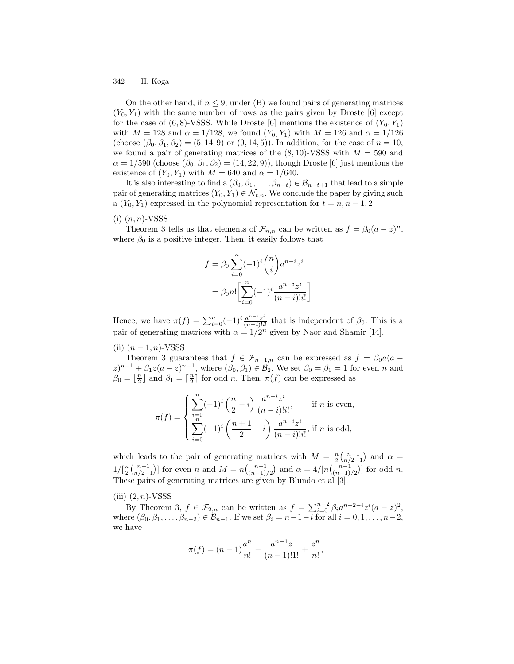On the other hand, if  $n \leq 9$ , under (B) we found pairs of generating matrices  $(Y_0, Y_1)$  with the same number of rows as the pairs given by Droste [6] except for the case of  $(6, 8)$ -VSSS. While Droste [6] mentions the existence of  $(Y_0, Y_1)$ with  $M = 128$  and  $\alpha = 1/128$ , we found  $(Y_0, Y_1)$  with  $M = 126$  and  $\alpha = 1/126$ (choose  $(\beta_0, \beta_1, \beta_2) = (5, 14, 9)$  or  $(9, 14, 5)$ ). In addition, for the case of  $n = 10$ , we found a pair of generating matrices of the  $(8, 10)$ -VSSS with  $M = 590$  and  $\alpha = 1/590$  (choose  $(\beta_0, \beta_1, \beta_2) = (14, 22, 9)$ ), though Droste [6] just mentions the existence of  $(Y_0, Y_1)$  with  $M = 640$  and  $\alpha = 1/640$ .

It is also interesting to find a  $(\beta_0, \beta_1, \dots, \beta_{n-t}) \in \mathcal{B}_{n-t+1}$  that lead to a simple pair of generating matrices  $(Y_0, Y_1) \in \mathcal{N}_{t,n}$ . We conclude the paper by giving such a  $(Y_0, Y_1)$  expressed in the polynomial representation for  $t = n, n - 1, 2$ 

#### $(i)$   $(n, n)$ -VSSS

Theorem 3 tells us that elements of  $\mathcal{F}_{n,n}$  can be written as  $f = \beta_0(a-z)^n$ , where  $\beta_0$  is a positive integer. Then, it easily follows that

$$
f = \beta_0 \sum_{i=0}^{n} (-1)^i {n \choose i} a^{n-i} z^i
$$

$$
= \beta_0 n! \left[ \sum_{i=0}^{n} (-1)^i \frac{a^{n-i} z^i}{(n-i)! i!} \right]
$$

Hence, we have  $\pi(f) = \sum_{i=0}^{n} (-1)^i \frac{a^{n-i}z^i}{(n-i)!i}$  $\frac{a^{n}+z^{n}}{(n-i)!i!}$  that is independent of  $\beta_0$ . This is a pair of generating matrices with  $\alpha = 1/2^n$  given by Naor and Shamir [14].

(ii)  $(n-1, n)$ -VSSS

Theorem 3 guarantees that  $f \in \mathcal{F}_{n-1,n}$  can be expressed as  $f = \beta_0 a (a (z)^{n-1} + \beta_1 z (a-z)^{n-1}$ , where  $(\beta_0, \beta_1) \in \mathcal{B}_2$ . We set  $\beta_0 = \beta_1 = 1$  for even n and  $\beta_0 = \lfloor \frac{n}{2} \rfloor$  and  $\beta_1 = \lceil \frac{n}{2} \rceil$  for odd *n*. Then,  $\pi(f)$  can be expressed as

$$
\pi(f) = \begin{cases} \sum_{i=0}^{n} (-1)^{i} \left(\frac{n}{2} - i\right) \frac{a^{n-i} z^{i}}{(n-i)! i!}, & \text{if } n \text{ is even,} \\ \sum_{i=0}^{n} (-1)^{i} \left(\frac{n+1}{2} - i\right) \frac{a^{n-i} z^{i}}{(n-i)! i!}, & \text{if } n \text{ is odd,} \end{cases}
$$

which leads to the pair of generating matrices with  $M = \frac{n}{2} {n \choose n/2-1}$  and  $\alpha =$  $1/[\frac{n}{2} {n-1 \choose n/2-1}]$  for even n and  $M = n {n-1 \choose (n-1)/2}$  and  $\alpha = 4/[n {n-1 \choose (n-1)/2}]$  for odd n. These pairs of generating matrices are given by Blundo et al [3].

#### (iii)  $(2, n)$ -VSSS

By Theorem 3,  $f \in \mathcal{F}_{2,n}$  can be written as  $f = \sum_{i=0}^{n-2} \beta_i a^{n-2-i} z^i (a-z)^2$ , where  $(\beta_0, \beta_1, \ldots, \beta_{n-2}) \in \mathcal{B}_{n-1}$ . If we set  $\beta_i = n-1-i$  for all  $i = 0, 1, \ldots, n-2$ , we have

$$
\pi(f) = (n-1)\frac{a^n}{n!} - \frac{a^{n-1}z}{(n-1)!1!} + \frac{z^n}{n!},
$$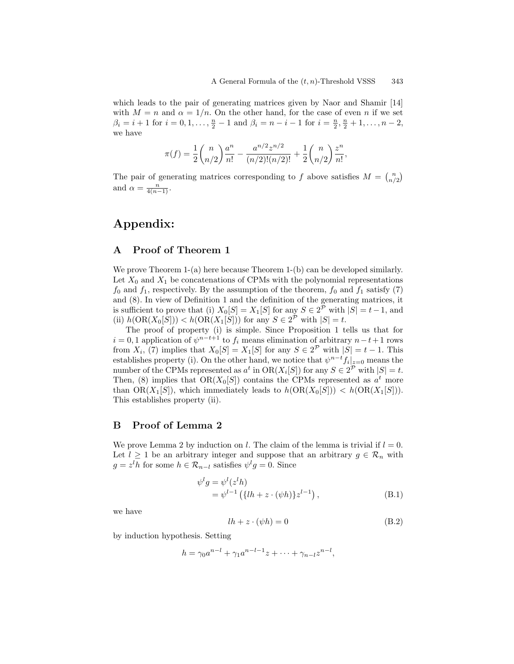which leads to the pair of generating matrices given by Naor and Shamir [14] with  $M = n$  and  $\alpha = 1/n$ . On the other hand, for the case of even n if we set  $\beta_i = i + 1$  for  $i = 0, 1, \ldots, \frac{n}{2} - 1$  and  $\beta_i = n - i - 1$  for  $i = \frac{n}{2}, \frac{n}{2} + 1, \ldots, n - 2$ , we have

$$
\pi(f) = \frac{1}{2} \binom{n}{n/2} \frac{a^n}{n!} - \frac{a^{n/2} z^{n/2}}{(n/2)!(n/2)!} + \frac{1}{2} \binom{n}{n/2} \frac{z^n}{n!},
$$

The pair of generating matrices corresponding to f above satisfies  $M = \binom{n}{n/2}$ and  $\alpha = \frac{n}{4(n-1)}$ .

## Appendix:

## A Proof of Theorem 1

We prove Theorem 1-(a) here because Theorem 1-(b) can be developed similarly. Let  $X_0$  and  $X_1$  be concatenations of CPMs with the polynomial representations  $f_0$  and  $f_1$ , respectively. By the assumption of the theorem,  $f_0$  and  $f_1$  satisfy (7) and (8). In view of Definition 1 and the definition of the generating matrices, it is sufficient to prove that (i)  $X_0[S] = X_1[S]$  for any  $S \in 2^{\mathcal{P}}$  with  $|S| = t - 1$ , and (ii)  $h(\text{OR}(X_0[S])) < h(\text{OR}(X_1[S]))$  for any  $S \in 2^{\mathcal{P}}$  with  $|S| = t$ .

The proof of property (i) is simple. Since Proposition 1 tells us that for  $i = 0, 1$  application of  $\psi^{n-t+1}$  to  $f_i$  means elimination of arbitrary  $n-t+1$  rows from  $X_i$ , (7) implies that  $X_0[S] = X_1[S]$  for any  $S \in 2^P$  with  $|S| = t - 1$ . This establishes property (i). On the other hand, we notice that  $\psi^{n-t} f_i|_{z=0}$  means the number of the CPMs represented as  $a^t$  in  $OR(X_i[S])$  for any  $S \in 2^P$  with  $|S| = t$ . Then, (8) implies that  $OR(X_0[S])$  contains the CPMs represented as  $a^t$  more than  $OR(X_1[S])$ , which immediately leads to  $h(OR(X_0[S])) < h(OR(X_1[S]))$ . This establishes property (ii).

## B Proof of Lemma 2

We prove Lemma 2 by induction on l. The claim of the lemma is trivial if  $l = 0$ . Let  $l \geq 1$  be an arbitrary integer and suppose that an arbitrary  $g \in \mathcal{R}_n$  with  $g = z<sup>l</sup>h$  for some  $h \in \mathcal{R}_{n-l}$  satisfies  $\psi<sup>l</sup>g = 0$ . Since

$$
\psi^{l} g = \psi^{l} (z^{l} h)
$$
  
=  $\psi^{l-1} (\{ l h + z \cdot (\psi h) \} z^{l-1}),$  (B.1)

we have

$$
lh + z \cdot (\psi h) = 0 \tag{B.2}
$$

by induction hypothesis. Setting

$$
h = \gamma_0 a^{n-l} + \gamma_1 a^{n-l-1} z + \dots + \gamma_{n-l} z^{n-l},
$$